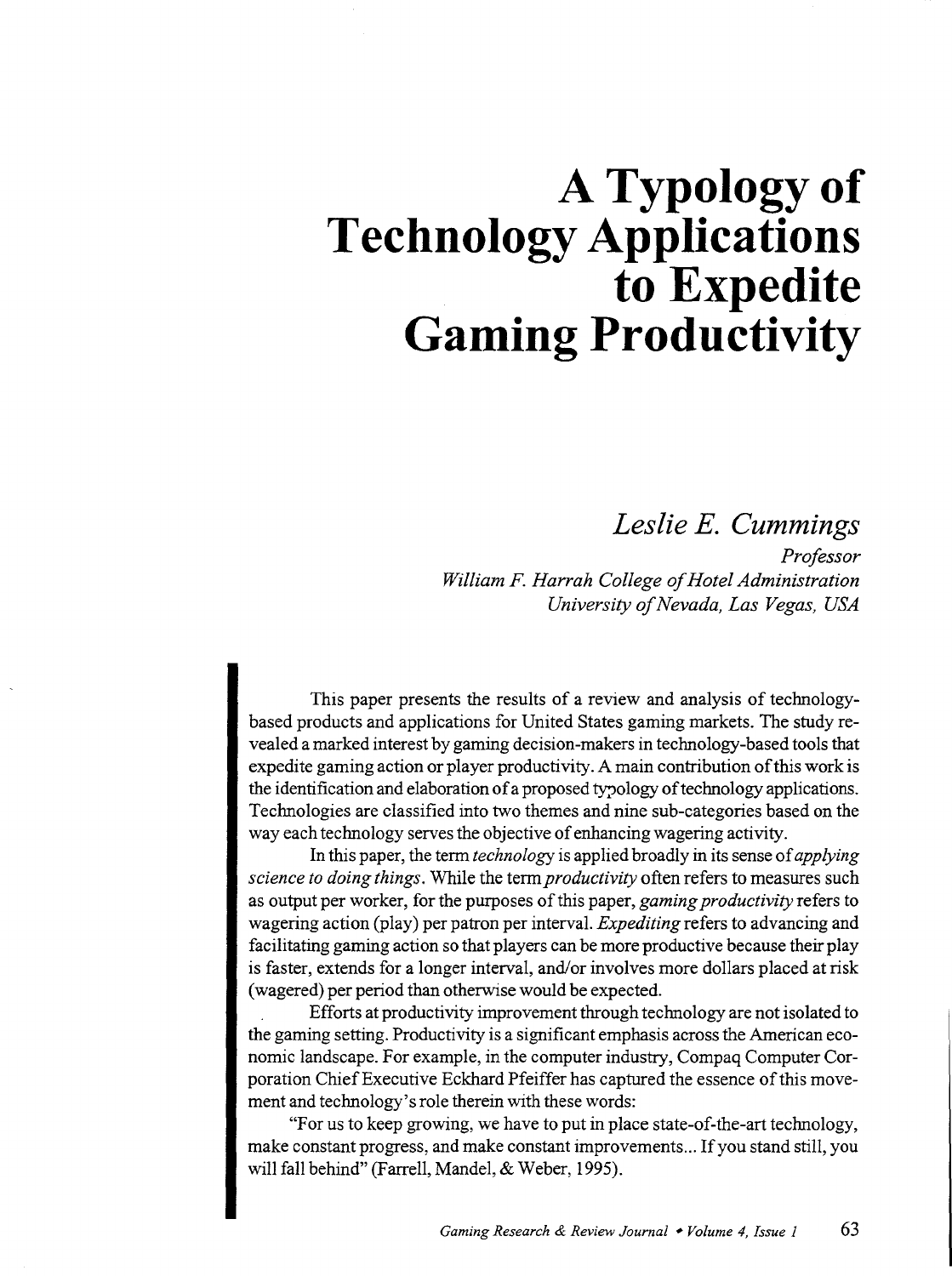# **A Typology of Technology Applications to Expedite Gaming Productivity**

### *Leslie E. Cummings*

*Professor William F. Harrah College of Hotel Administration University of Nevada, Las Vegas, USA* 

This paper presents the results of a review and analysis of technologybased products and applications for United States gaming markets. The study revealed a marked interest by gaming decision-makers in technology-based tools that expedite gaming action or player productivity. A main contribution of this work is the identification and elaboration of a proposed typology of technology applications. Technologies are classified into two themes and nine sub-categories based on the way each technology serves the objective of enhancing wagering activity.

In this paper, the term *technology* is applied broadly in its sense of *applying science to doing things.* While the term *productivity* often refers to measures such as output per worker, for the purposes of this paper, *gaming productivity* refers to wagering action (play) per patron per interval. *Expediting* refers to advancing and facilitating gaming action so that players can be more productive because their play is faster, extends for a longer interval, and/or involves more dollars placed at risk (wagered) per period than otherwise would be expected.

Efforts at productivity improvement through technology are not isolated to the gaming setting. Productivity is a significant emphasis across the American economic landscape. For example, in the computer industry, Compaq Computer Corporation Chief Executive Eckhard Pfeiffer has captured the essence of this movement and technology's role therein with these words:

"For us to keep growing, we have to put in place state-of-the-art technology, make constant progress, and make constant improvements ... If you stand still, you will fall behind" (Farrell, Mandel, & Weber, 1995).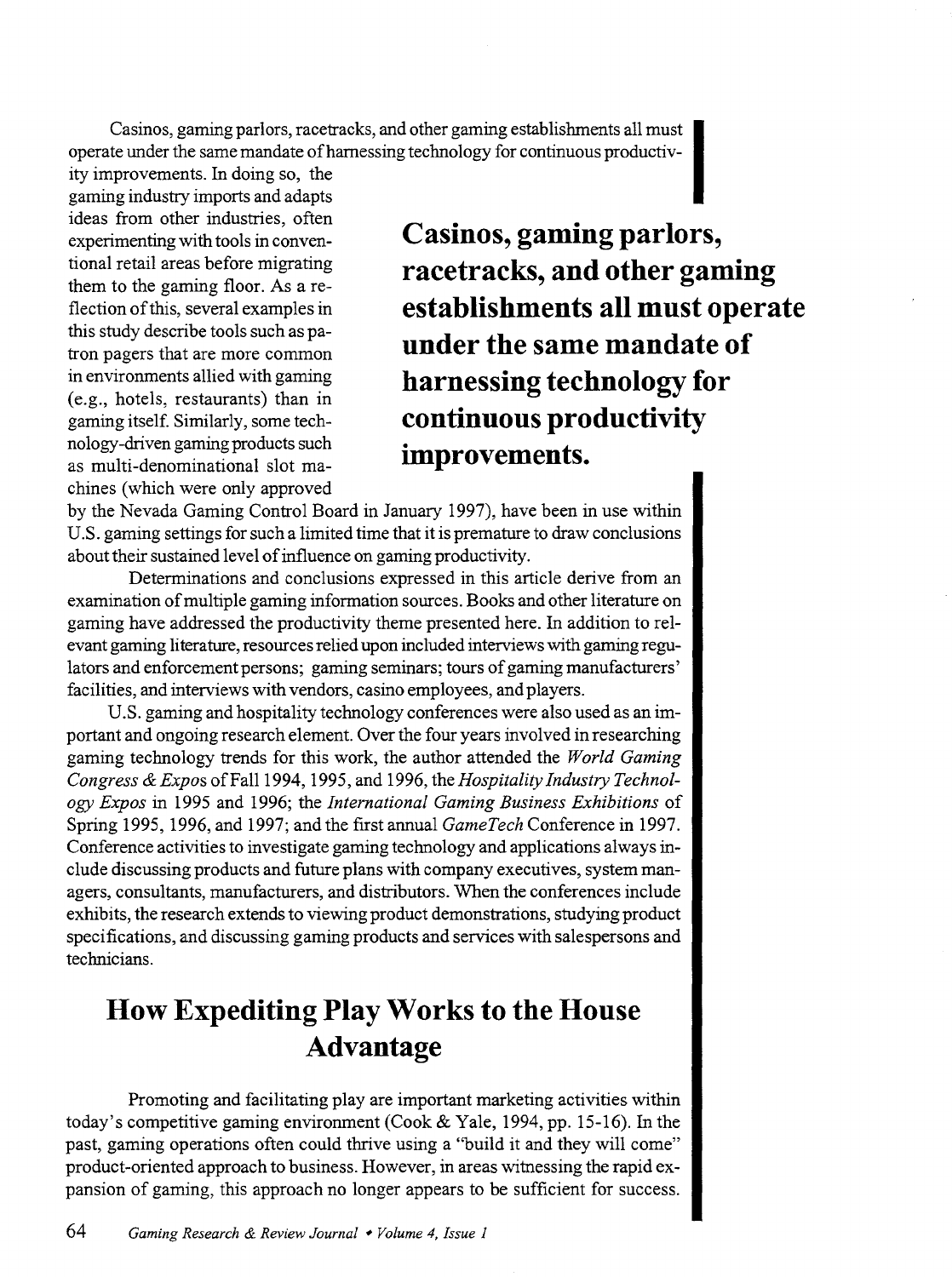Casinos, gaming parlors, racetracks, and other gaming establishments all must<br>operate under the same mandate of harnessing technology for continuous productiv-

ity improvements. In doing so, the gaming industry imports and adapts ideas from other industries, often experimenting with tools in conventional retail areas before migrating them to the gaming floor. As a reflection of this, several examples in this study describe tools such as patron pagers that are more common in environments allied with gaming (e.g., hotels, restaurants) than in gaming itself. Similarly, some technology-driven gaming products such as multi-denominational slot machines (which were only approved

**Casinos, gaming parlors, racetracks, and other gaming establishments all must operate under the same mandate of harnessing technology for continuous productivity improvements.** 

by the Nevada Gaming Control Board in January 1997), have been in use within U.S. gaming settings for such a limited time that it is premature to draw conclusions about their sustained level of influence on gaming productivity.

Determinations and conclusions expressed in this article derive from an examination of multiple gaming information sources. Books and other literature on gaming have addressed the productivity theme presented here. In addition to relevant gaming literature, resources relied upon included interviews with gaming regulators and enforcement persons; gaming seminars; tours of gaming manufacturers' facilities, and interviews with vendors, casino employees, and players.

U.S. gaming and hospitality technology conferences were also used as an important and ongoing research element. Over the four years involved in researching gaming technology trends for this work, the author attended the *World Gaming*  Congress & Expos of Fall 1994, 1995, and 1996, the *Hospitality Industry Technology Expos* in 1995 and 1996; the *International Gaming Business Exhibitions* of Spring 1995, 1996, and 1997; and the first annual *GameTech* Conference in 1997. Conference activities to investigate gaming technology and applications always include discussing products and future plans with company executives, system managers, consultants, manufacturers, and distributors. When the conferences include exhibits, the research extends to viewing product demonstrations, studying product specifications, and discussing gaming products and services with salespersons and technicians.

### **How Expediting Play Works to the House Advantage**

Promoting and facilitating play are important marketing activities within today's competitive gaming environment (Cook & Yale, 1994, pp. 15-16). In the past, gaming operations often could thrive using a "build it and they will come" product-oriented approach to business. However, in areas witnessing the rapid expansion of gaming, this approach no longer appears to be sufficient for success.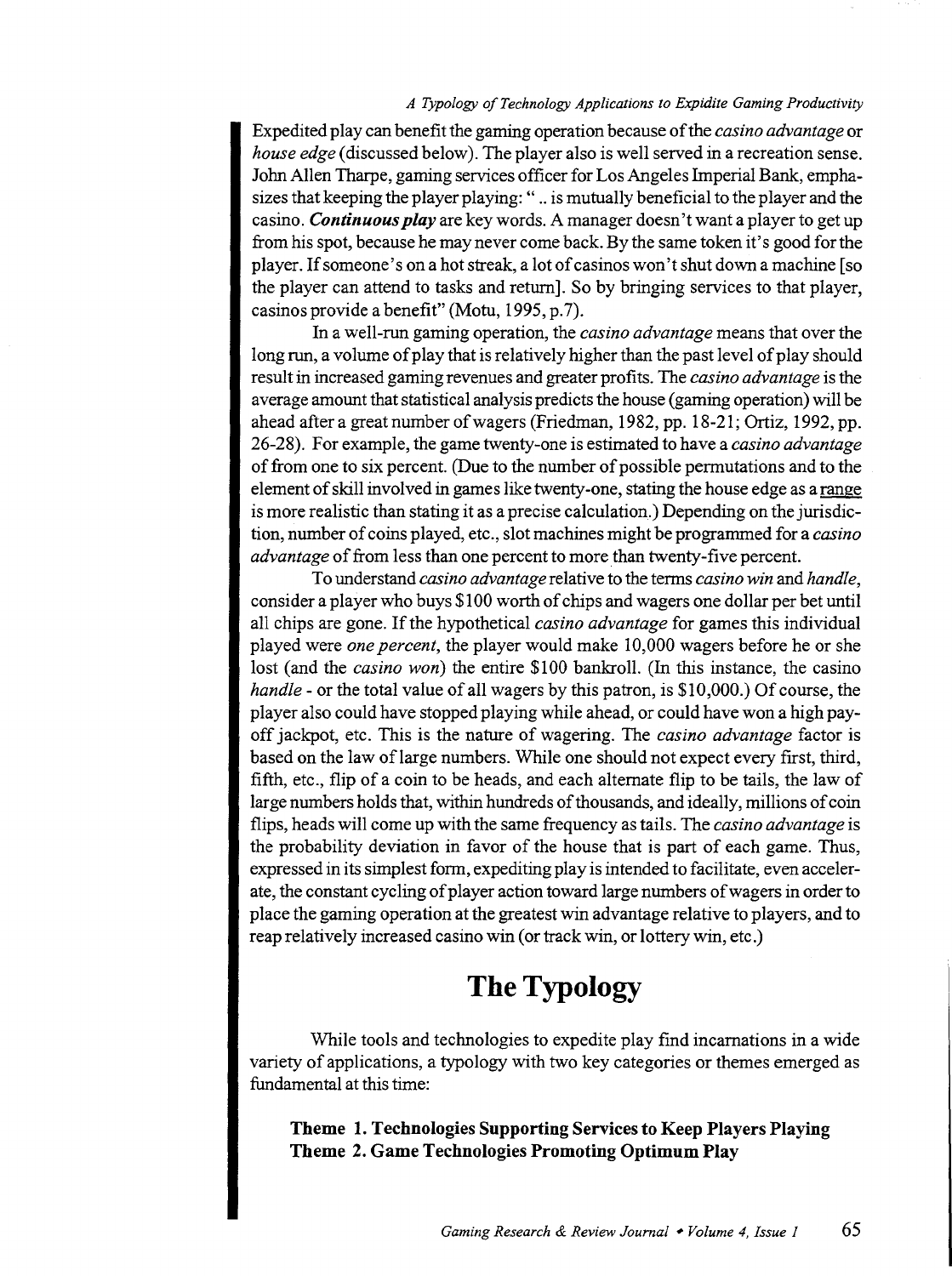#### *A Typology of Technology Applications to Expidite Gaming Productivity*

Expedited play can benefit the gaming operation because of the *casino advantage* or *house edge* (discussed below). The player also is well served in a recreation sense. John Allen Tharpe, gaming services officer for Los Angeles Imperial Bank, emphasizes that keeping the player playing: " .. is mutually beneficial to the player and the casino. *Continuous play* are key words. A manager doesn't want a player to get up from his spot, because he may never come back. By the same token it's good for the player. If someone's on a hot streak, a lot of casinos won't shut down a machine [so the player can attend to tasks and return]. So by bringing services to that player, casinos provide a benefit" (Motu, 1995, p. 7).

In a well-run gaming operation, the *casino advantage* means that over the long run, a volume of play that is relatively higher than the past level of play should result in increased gaming revenues and greater profits. The *casino advantage* is the average amount that statistical analysis predicts the house (gaming operation) will be ahead after a great number of wagers (Friedman, 1982, pp. 18-21; Ortiz, 1992, pp. 26-28). For example, the game twenty-one is estimated to have a *casino advantage*  of from one to six percent. (Due to the number of possible permutations and to the element of skill involved in games like twenty-one, stating the house edge as a range is more realistic than stating it as a precise calculation.) Depending on the jurisdiction, number of coins played, etc., slot machines might be programmed for a *casino advantage* of from less than one percent to more than twenty-five percent.

To understand *casino advantage* relative to the terms *casino win* and *handle,*  consider a player who buys \$100 worth of chips and wagers one dollar per bet until all chips are gone. If the hypothetical *casino advantage* for games this individual played were *one percent,* the player would make 10,000 wagers before he or she lost (and the *casino won)* the entire \$100 bankroll. (In this instance, the casino *handle-* or the total value of all wagers by this patron, is \$10,000.) Of course, the player also could have stopped playing while ahead, or could have won a high payoff jackpot, etc. This is the nature of wagering. The *casino advantage* factor is based on the law of large numbers. While one should not expect every first, third, fifth, etc., flip of a coin to be heads, and each alternate flip to be tails, the law of large numbers holds that, within hundreds of thousands, and ideally, millions of coin flips, heads will come up with the same frequency as tails. The *casino advantage* is the probability deviation in favor of the house that is part of each game. Thus, expressed in its simplest form, expediting play is intended to facilitate, even accelerate, the constant cycling of player action toward large numbers of wagers in order to place the gaming operation at the greatest win advantage relative to players, and to reap relatively increased casino win (or track win, or lottery win, etc.)

### **The Typology**

While tools and technologies to expedite play find incarnations in a wide variety of applications, a typology with two key categories or themes emerged as fundamental at this time:

**Theme 1. Technologies Supporting Services to Keep Players Playing Theme 2. Game Technologies Promoting Optimum Play**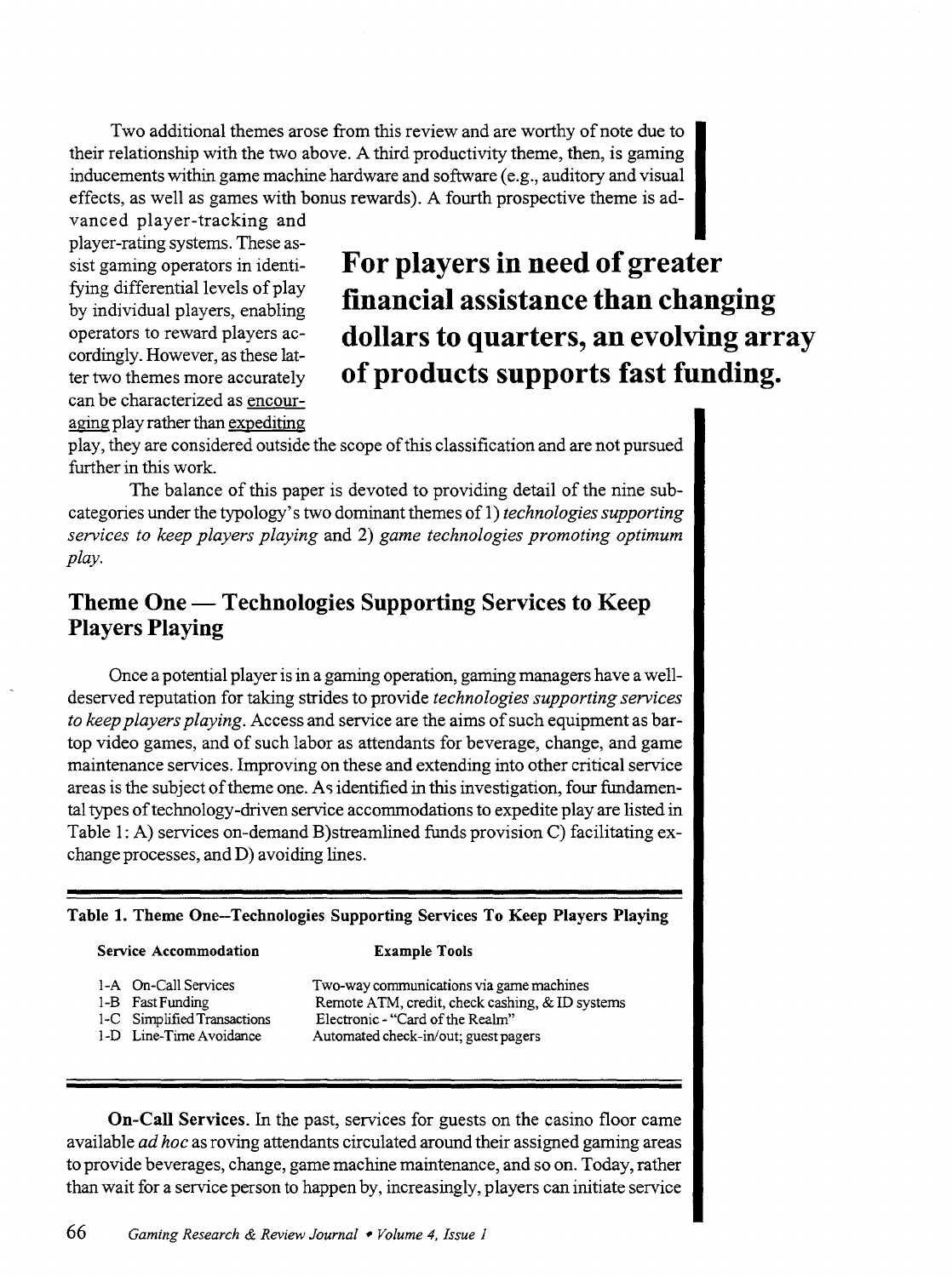Two additional themes arose from this review and are worthy of note due to their relationship with the two above. A third productivity theme, then, is gaming inducements within game machine hardware and software (e.g., auditory and visual effects, as well as games with bonus rewards). A fourth prospective theme is ad-

vanced player-tracking and player-rating systems. These assist gaming operators in identifying differential levels of play by individual players, enabling operators to reward players accordingly. However, as these latter two themes more accurately can be characterized as encour aging play rather than expediting

# For players in need of greater financial assistance than changing dollars to quarters, an evolving array of products supports fast funding.

play, they are considered outside the scope of this classification and are not pursued further in this work.

The balance of this paper is devoted to providing detail of the nine subcategories under the typology's two dominant themes of 1) *technologies supporting sen;ices to keep players playing* and 2) *game technologies promoting optimum play.* 

### Theme One — Technologies Supporting Services to Keep Players Playing

Once a potential player is in a gaming operation, gaming managers have a welldeserved reputation for taking strides to provide *technologies supporting sen;ices to keep players playing.* Access and service are the aims of such equipment as bartop video games, and of such labor as attendants for beverage, change, and game maintenance services. Improving on these and extending into other critical service areas is the subject of theme one. As identified in this investigation, four fundamental types of technology-driven service accommodations to expedite play are listed in Table 1: A) services on-demand B)streamlined funds provision C) facilitating exchange processes, and D) avoiding lines.

#### Table 1. Theme One-Technologies Supporting Services To Keep Players Playing

#### Service Accommodation

#### Example Tools

- 
- 1-A On-Call Services

1-B Fast Funding

- 1-C Simplified Transactions
- 1-D Line-Time Avoidance

Two-way communications via game machines Remote ATM, credit, check cashing, & ID systems Electronic - "Card of the Realm" Automated check-in/out; guest pagers

On-Call Services. In the past, services for guests on the casino floor came available *ad hoc* as roving attendants circulated around their assigned gaming areas to provide beverages, change, game machine maintenance, and so on. Today, rather than wait for a service person to happen by, increasingly, players can initiate service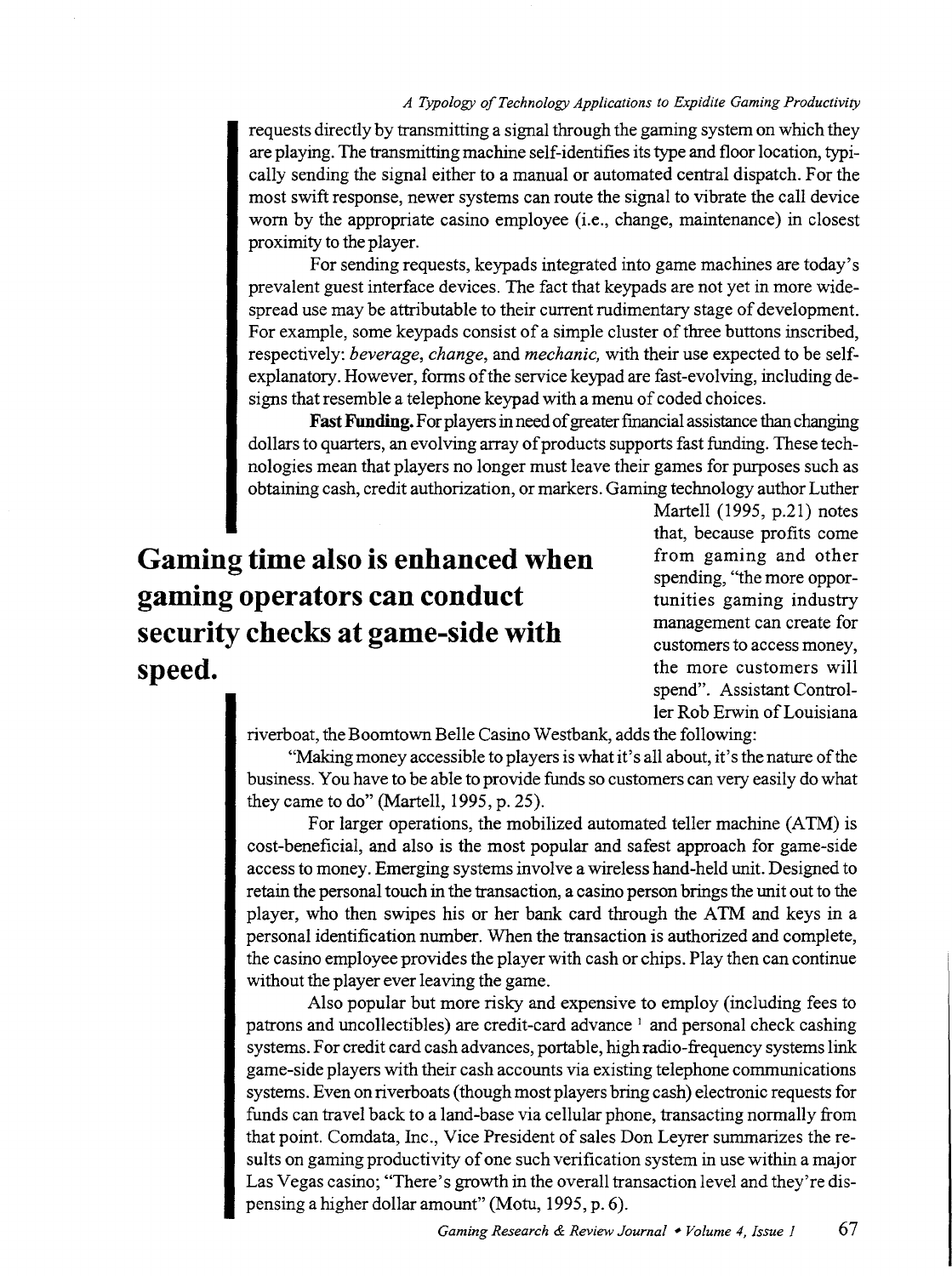requests directly by transmitting a signal through the gaming system on which they are playing. The transmitting machine self-identifies its type and floor location, typically sending the signal either to a manual or automated central dispatch. For the most swift response, newer systems can route the signal to vibrate the call device worn by the appropriate casino employee (i.e., change, maintenance) in closest proximity to the player.

For sending requests, keypads integrated into game machines are today's prevalent guest interface devices. The fact that keypads are not yet in more widespread use may be attributable to their current rudimentary stage of development. For example, some keypads consist of a simple cluster of three buttons inscribed, respectively: *beverage, change,* and *mechanic,* with their use expected to be selfexplanatory. However, forms of the service keypad are fast-evolving, including designs that resemble a telephone keypad with a menu of coded choices.

**Fast Funding.** For players in need of greater financial assistance than changing dollars to quarters, an evolving array of products supports fast funding. These technologies mean that players no longer must leave their games for purposes such as obtaining cash, credit authorization, or markers. Gaming technology author Luther

# **Gaming time also is enhanced when gaming operators can conduct security checks at game-side with speed.**

Martell (1995, p.21) notes that, because profits come from gaming and other spending, "the more opportunities gaming industry management can create for customers to access money, the more customers will spend". Assistant Controller Rob Erwin of Louisiana

riverboat, the Boomtown Belle Casino Westbank, adds the following:

"Making money accessible to players is what it's all about, it's the nature of the business. You have to be able to provide funds so customers can very easily do what they came to do" (Martell, 1995, p. 25).

For larger operations, the mobilized automated teller machine (ATM) is cost-beneficial, and also is the most popular and safest approach for game-side access to money. Emerging systems involve a wireless hand-held unit. Designed to retain the personal touch in the transaction, a casino person brings the unit out to the player, who then swipes his or her bank card through the ATM and keys in a personal identification number. When the transaction is authorized and complete, the casino employee provides the player with cash or chips. Play then can continue without the player ever leaving the game.

Also popular but more risky and expensive to employ (including fees to patrons and uncollectibles) are credit-card advance <sup>1</sup> and personal check cashing systems. For credit card cash advances, portable, high radio-frequency systems link game-side players with their cash accounts via existing telephone communications systems. Even on riverboats (though most players bring cash) electronic requests for funds can travel back to a land-base via cellular phone, transacting normally from that point. Comdata, Inc., Vice President of sales Don Leyrer summarizes the results on gaming productivity of one such verification system in use within a major Las Vegas casino; "There's growth in the overall transaction level and they're dispensing a higher dollar amount" (Motu, 1995, p. 6).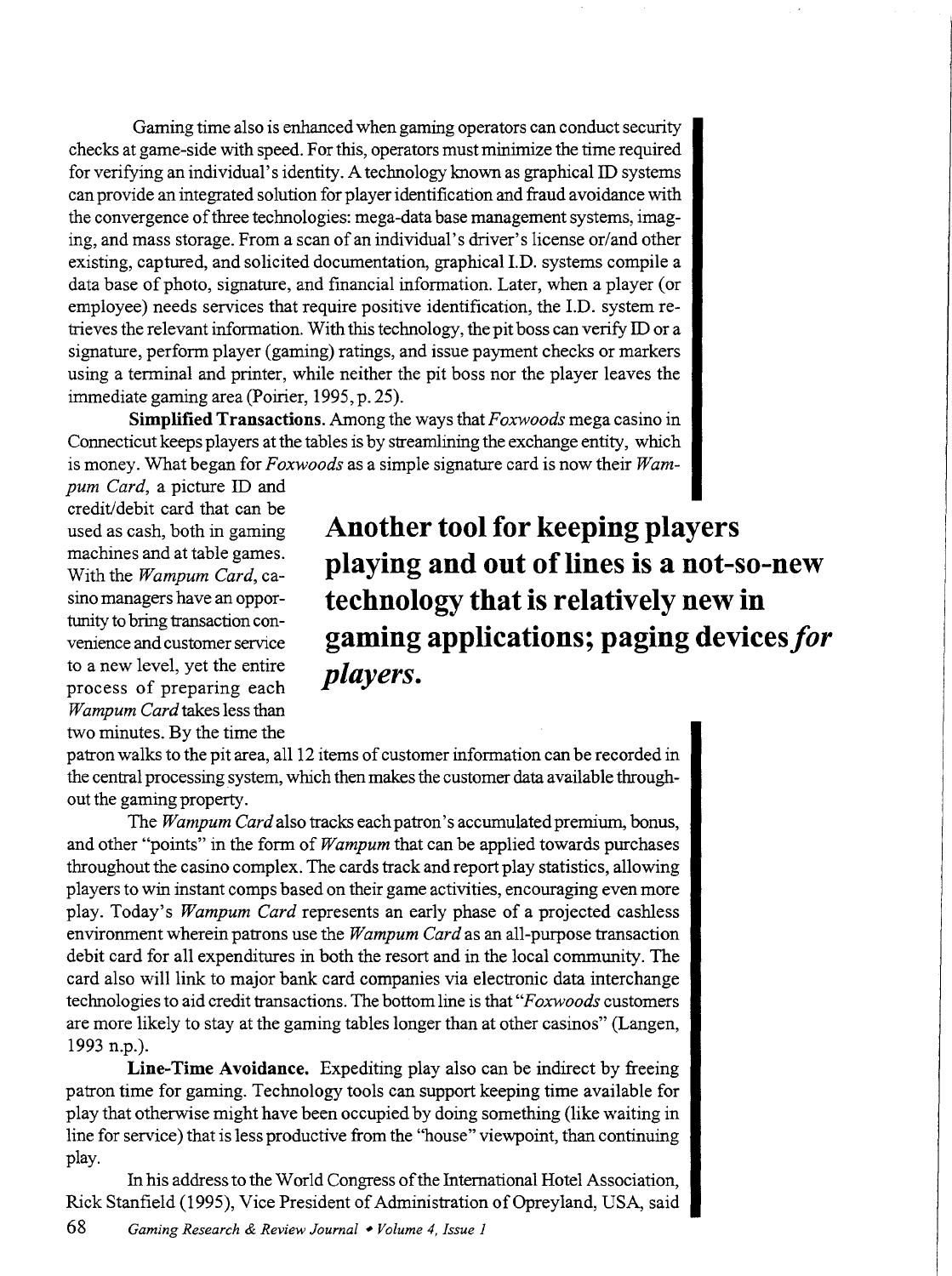Gaming time also is enhanced when gaming operators can conduct security checks at game-side with speed. For this, operators must minimize the time required for verifying an individual's identity. A technology known as graphical ID systems can provide an integrated solution for player identification and fraud avoidance with the convergence of three technologies: mega-data base management systems, imaging, and mass storage. From a scan of an individual's driver's license or/and other existing, captured, and solicited documentation, graphical I.D. systems compile a data base of photo, signature, and financial information. Later, when a player (or employee) needs services that require positive identification, the I.D. system retrieves the relevant information. With this technology, the pit boss can verify ID or a signature, perform player (gaming) ratings, and issue payment checks or markers using a terminal and printer, while neither the pit boss nor the player leaves the immediate gaming area (Poirier, 1995, p. 25).

**Simplified Transactions.** Among the ways that *Foxwoods* mega casino in Connecticut keeps players at the tables is by streamlining the exchange entity, which is money. What began for *Foxwoods* as a simple signature card is now their *Wam-*

*pum Card,* a picture ID and credit/debit card that can be used as cash, both in gaming machines and at table games. With the *Wampum Card,* casino managers have an opportunity to bring transaction convenience and customer service to a new level, yet the entire process of preparing each *Wampum Card* takes less than two minutes. By the time the

**Another tool for keeping players playing and out of lines is a not-so-new technology that is relatively new in gaming applications; paging devices** *for players.* 

patron walks to the pit area, al112 items of customer information can be recorded in the central processing system, which then makes the customer data available throughout the gaming property.

The *Wampum Card* also tracks each patron's accumulated premium, bonus, and other "points" in the form of *Wampum* that can be applied towards purchases throughout the casino complex. The cards track and report play statistics, allowing players to win instant camps based on their game activities, encouraging even more play. Today's *Wampum Card* represents an early phase of a projected cashless environment wherein patrons use the *Wampum Card* as an all-purpose transaction debit card for all expenditures in both the resort and in the local community. The card also will link to major bank card companies via electronic data interchange technologies to aid credit transactions. The bottom line is that *"F oxwoods* customers are more likely to stay at the gaming tables longer than at other casinos" (Langen, 1993 n.p.).

**Line-Time Avoidance.** Expediting play also can be indirect by freeing patron time for gaming. Technology tools can support keeping time available for play that otherwise might have been occupied by doing something (like waiting in line for service) that is less productive from the "house" viewpoint, than continuing play.

In his address to the World Congress of the International Hotel Association, Rick Stanfield (1995), Vice President of Administration of Opreyland, USA, said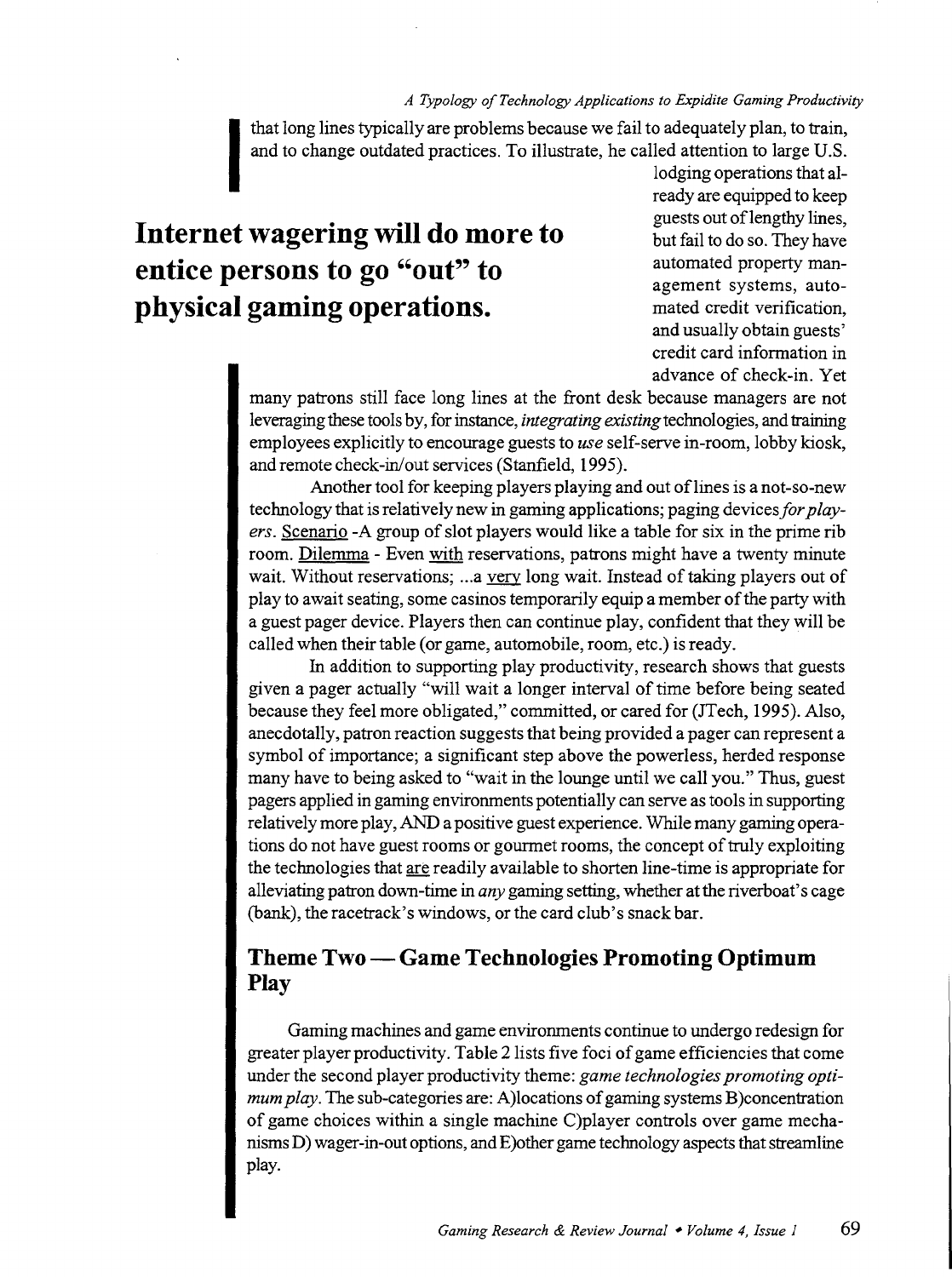that long lines typically are problems because we fail to adequately plan, to train, and to change outdated practices. To illustrate, he called attention to large U.S.

# **Internet wagering will do more to entice persons to go "out" to physical gaming operations.**

lodging operations that already are equipped to keep guests out of lengthy lines, but fail to do so. They have automated property management systems, automated credit verification, and usually obtain guests' credit card information in advance of check-in. Yet

many patrons still face long lines at the front desk because managers are not leveraging these tools by, for instance, *integrating existing* technologies, and training employees explicitly to encourage guests to *use* self-serve in-room, lobby kiosk, and remote check-in/out services (Stanfield, 1995).

Another tool for keeping players playing and out of lines is a not-so-new technology that is relatively new in gaming applications; paging devices *for players.* Scenario -A group of slot players would like a table for six in the prime rib room. Dilemma - Even with reservations, patrons might have a twenty minute wait. Without reservations; ... a very long wait. Instead of taking players out of play to await seating, some casinos temporarily equip a member of the party with a guest pager device. Players then can continue play, confident that they will be called when their table (or game, automobile, room, etc.) is ready.

In addition to supporting play productivity, research shows that guests given a pager actually "will wait a longer interval of time before being seated because they feel more obligated," committed, or cared for (JTech, 1995). Also, anecdotally, patron reaction suggests that being provided a pager can represent a symbol of importance; a significant step above the powerless, herded response many have to being asked to "wait in the lounge until we call you." Thus, guest pagers applied in gaming environments potentially can serve as tools in supporting relatively more play, AND a positive guest experience. While many gaming operations do not have guest rooms or gourmet rooms, the concept of truly exploiting the technologies that are readily available to shorten line-time is appropriate for alleviating patron down-time in *any* gaming setting, whether at the riverboat's cage (bank), the racetrack's windows, or the card club's snack bar.

### **Theme Two-Game Technologies Promoting Optimum Play**

Gaming machines and game environments continue to undergo redesign for greater player productivity. Table 2lists five foci of game efficiencies that come under the second player productivity theme: *game technologies promoting optimum play.* The sub-categories are: A)locations of gaming systems B)concentration of game choices within a single machine C)player controls over game mechanisms D) wager -in-out options, and E)other game technology aspects that streamline play.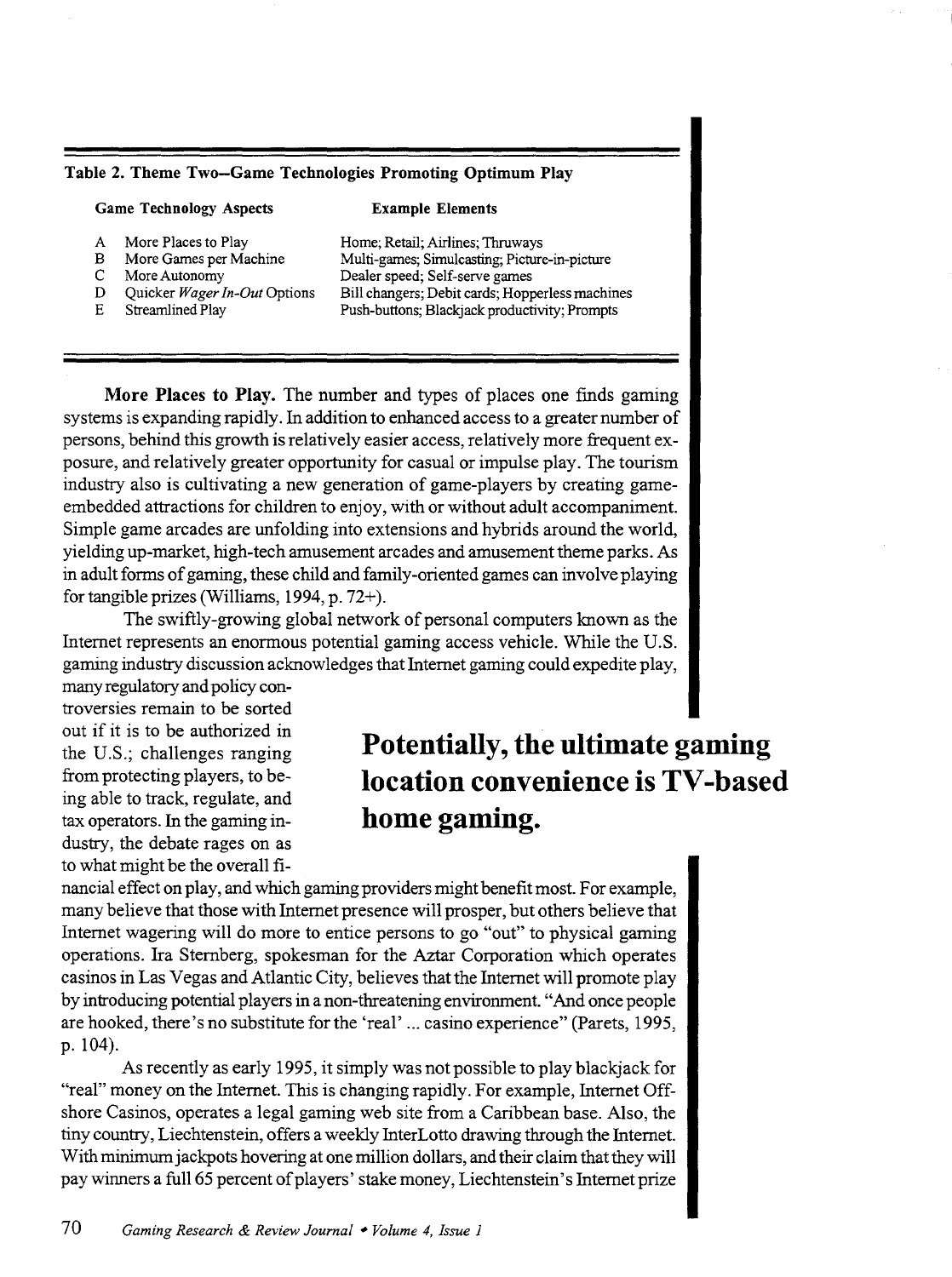#### Table 2. Theme Two-Game Technologies Promoting Optimum Play

Game Technology Aspects

#### Example Elements

- A More Places to Play<br>B More Games per Ma
- B More Games per Machine<br>C More Autonomy
- C More Autonomy<br>D Ouicker Wager
- D Quicker *Wager In-Out* Options<br>E Streamlined Play
- Streamlined Play

Home; Retail; Airlines; Thruways Multi-games; Simulcasting; Picture-in-picture Dealer speed; Self-serve games Bill changers; Debit cards; Hopperless machines Push-buttons; Blackjack productivity; Prompts

More Places to Play. The number and types of places one fmds gaming systems is expanding rapidly. In addition to enhanced access to a greater number of persons, behind this growth is relatively easier access, relatively more frequent exposure, and relatively greater opportunity for casual or impulse play. The tourism industry also is cultivating a new generation of game-players by creating gameembedded attractions for children to enjoy, with or without adult accompaniment. Simple game arcades are unfolding into extensions and hybrids around the world, yielding up-market, high-tech amusement arcades and amusement theme parks. As in adult forms of gaming, these child and family-oriented games can involve playing for tangible prizes (Williams, 1994, p. 72+ ).

The swiftly-growing global network of personal computers known as the Internet represents an enormous potential gaming access vehicle. While the U.S. gaming industry discussion acknowledges that Internet gaming could expedite play,

many regulatory and policy controversies remain to be sorted out if it is to be authorized in the U.S.; challenges ranging from protecting players, to being able to track, regulate, and tax operators. In the gaming industry, the debate rages on as to what might be the overall fi-

# **Potentially, the ultimate gaming location convenience is TV -based home gaming.**

nancial effect on play, and which gaming providers might benefit most. For example, many believe that those with Internet presence will prosper, but others believe that Internet wagering will do more to entice persons to go "out" to physical gaming operations. Ira Sternberg, spokesman for the Aztar Corporation which operates casinos in Las Vegas and Atlantic City, believes that the Internet will promote play by introducing potential players in a non-threatening environment. "And once people are hooked, there's no substitute for the 'real' ... casino experience" (Parets, 1995, p. 104).

As recently as early 1995, it simply was not possible to play blackjack for "real" money on the Internet. This is changing rapidly. For example, Internet Offshore Casinos, operates a legal gaming web site from a Caribbean base. Also, the tiny country, Liechtenstein, offers a weekly InterLotto drawing through the Internet. With minimum jackpots hovering at one million dollars, and their claim that they will pay winners a full65 percent of players' stake money, Liechtenstein's Internet prize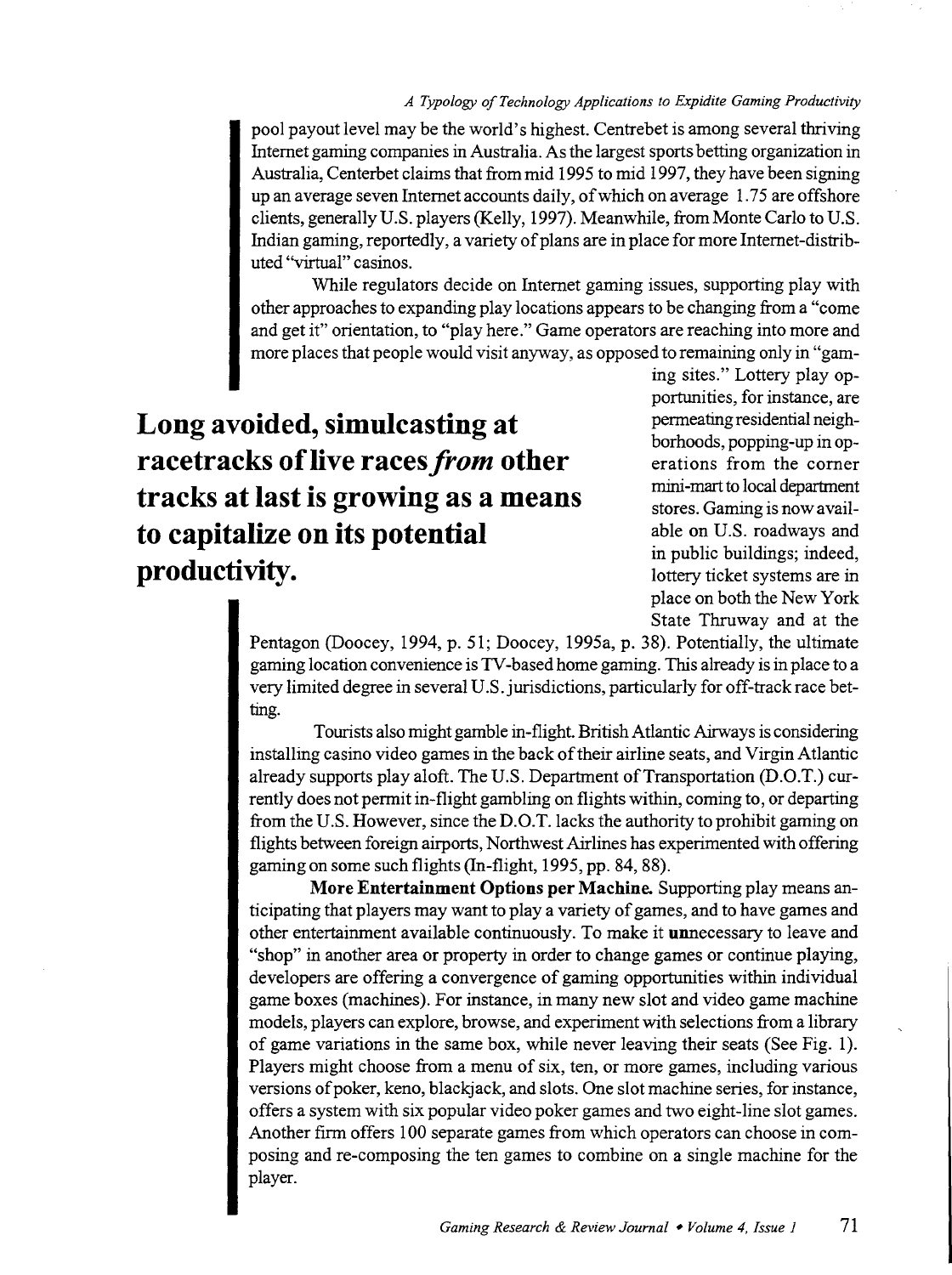pool payout level may be the world's highest. Centrebet is among several thriving Internet gaming companies in Australia. As the largest sports betting organization in Australia, Centerbet claims that from mid 1995 to mid 1997, they have been signing up an average seven Internet accounts daily, of which on average 1. 75 are offshore clients, generally U.S. players (Kelly, 1997). Meanwhile, from Monte Carlo to U.S. Indian gaming, reportedly, a variety of plans are in place for more Internet -distributed "virtual" casinos.

While regulators decide on Internet gaming issues, supporting play with other approaches to expanding play locations appears to be changing from a "come and get it" orientation, to "play here." Game operators are reaching into more and more places that people would visit anyway, as opposed to remaining only in "gam-

**Long avoided, simulcasting at racetracks of live races** *from* **other tracks at last is growing as a means to capitalize on its potential productivity.** 

ing sites." Lottery play opportunities, for instance, are permeating residential neighborhoods, popping-up in operations from the corner mini-mart to local department stores. Gaming is now available on U.S. roadways and in public buildings; indeed, lottery ticket systems are in place on both the New York State Thruway and at the

Pentagon (Doocey, 1994, p. 51; Doocey, 1995a, p. 38). Potentially, the ultimate gaming location convenience is TV -based home gaming. This already is in place to a very limited degree in several U.S. jurisdictions, particularly for off-track race betting.

Tourists also might gamble in-flight. British Atlantic Airways is considering installing casino video games in the back of their airline seats, and Virgin Atlantic already supports play aloft. The U.S. Department of Transportation (D.O.T.) currently does not permit in-flight gambling on flights within, coming to, or departing from the U.S. However, since the D.O.T.lacks the authority to prohibit gaming on flights between foreign airports, Northwest Airlines has experimented with offering gaming on some such flights (In-flight, 1995, pp. 84, 88).

**More Entertainment Options per Machine.** Supporting play means anticipating that players may want to play a variety of games, and to have games and other entertainment available continuously. To make it unnecessary to leave and "shop" in another area or property in order to change games or continue playing, developers are offering a convergence of gaming opportunities within individual game boxes (machines). For instance, in many new slot and video game machine models, players can explore, browse, and experiment with selections from a library of game variations in the same box, while never leaving their seats (See Fig. 1). Players might choose from a menu of six, ten, or more games, including various versions of poker, keno, blackjack, and slots. One slot machine series, for instance, offers a system with six popular video poker games and two eight-line slot games. Another firm offers 100 separate games from which operators can choose in composing and re-composing the ten games to combine on a single machine for the player.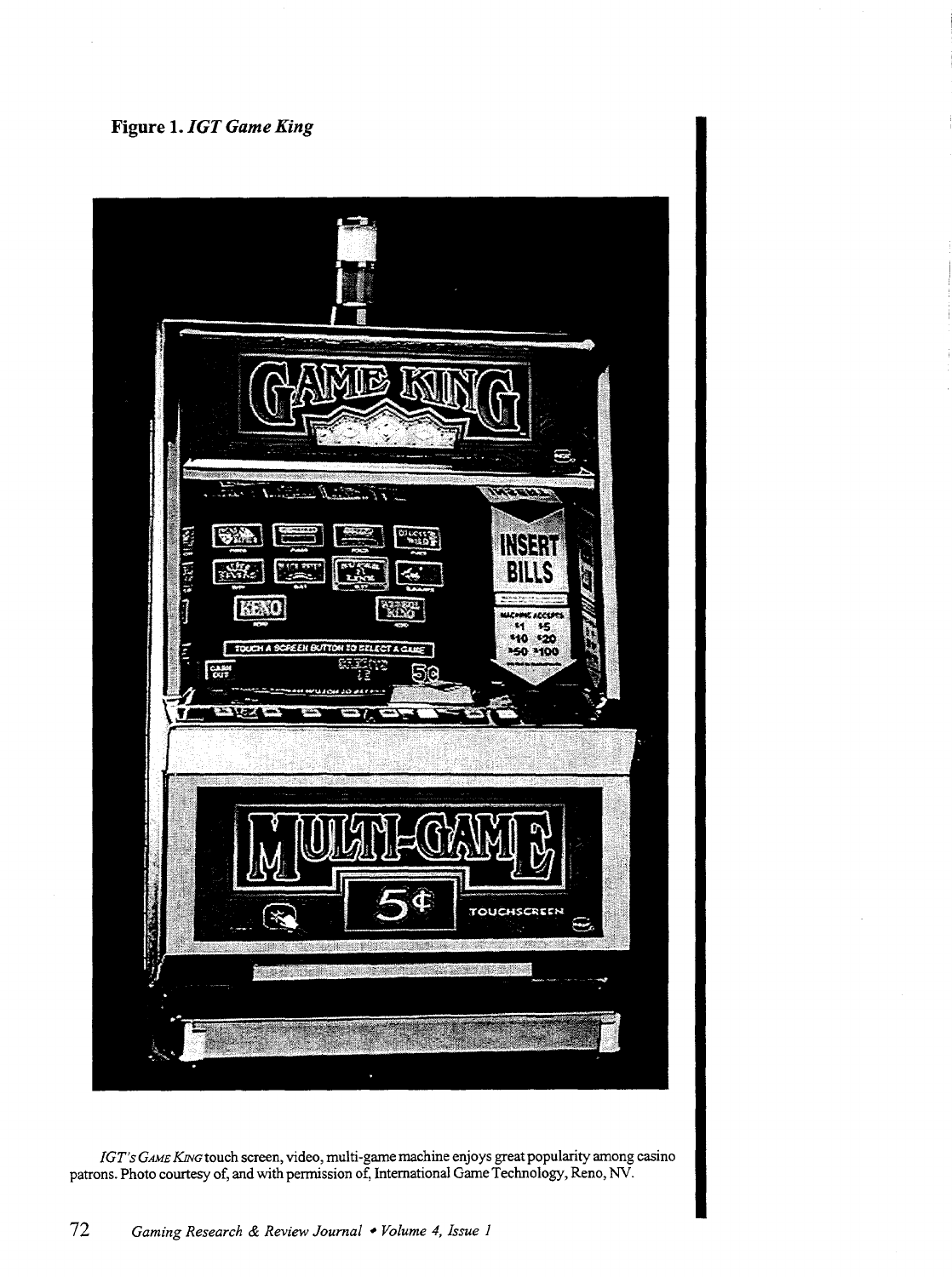### **Figure 1.** *IGT Game King*



*IGT's GAME KiNG* touch screen, video, multi-game machine enjoys great popularity among casino patrons. Photo courtesy of, and with permission of, International Game Technology, Reno, NV.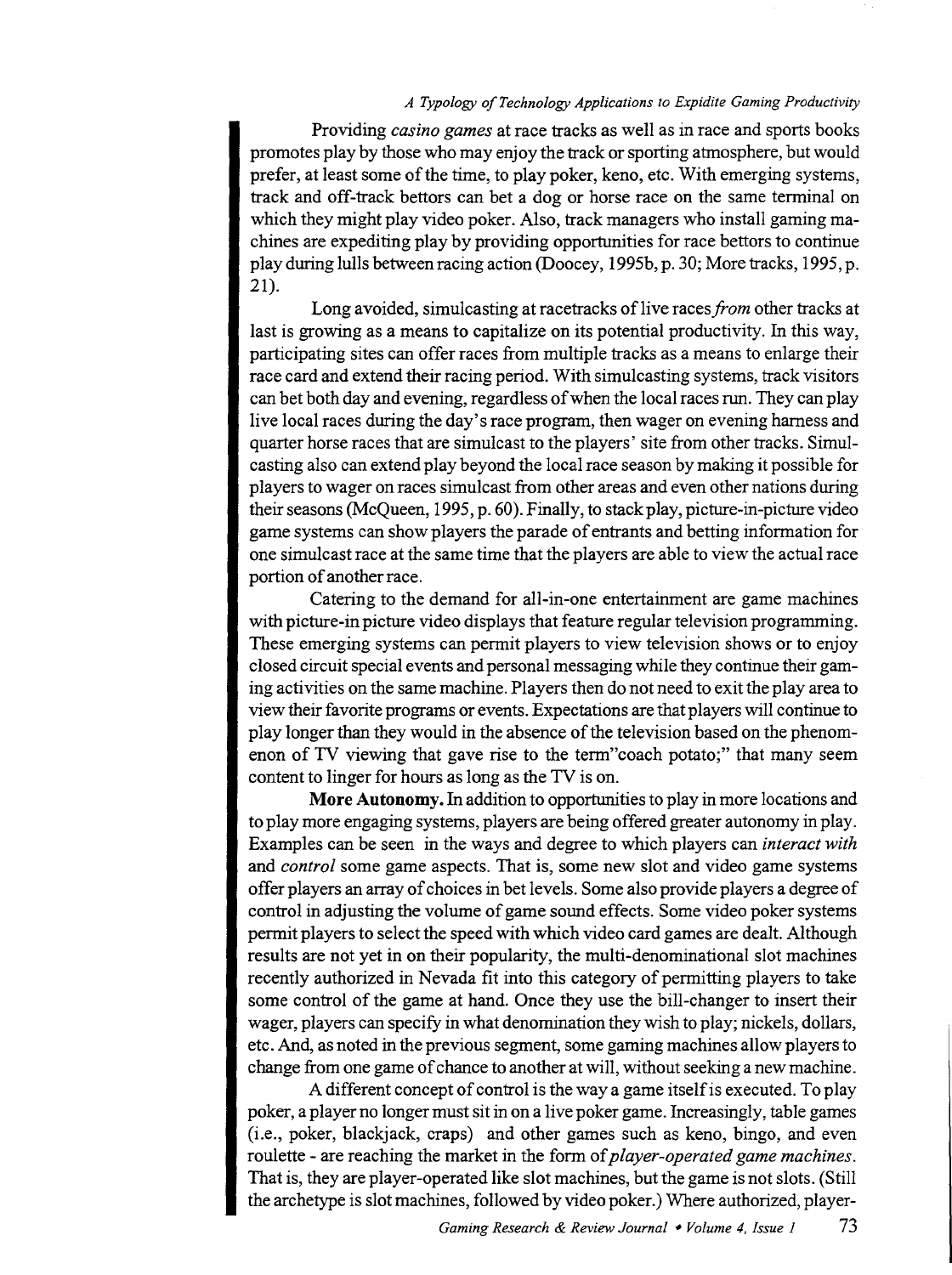#### *A Typology of Technology Applications to Expidite Gaming Productivity*

Providing *casino games* at race tracks as well as in race and sports books promotes play by those who may enjoy the track or sporting atmosphere, but would prefer, at least some of the time, to play poker, keno, etc. With emerging systems, track and off-track bettors can bet a dog or horse race on the same terminal on which they might play video poker. Also, track managers who install gaming machines are expediting play by providing opportunities for race bettors to continue play during lulls between racing action (Doocey, 1995b, p. 30; More tracks, 1995, p. 21).

Long avoided, simulcasting at racetracks of live races *from* other tracks at last is growing as a means to capitalize on its potential productivity. In this way, participating sites can offer races from multiple tracks as a means to enlarge their race card and extend their racing period. With simulcasting systems, track visitors can bet both day and evening, regardless of when the local races run. They can play live local races during the day's race program, then wager on evening harness and quarter horse races that are simulcast to the players' site from other tracks. Simulcasting also can extend play beyond the local race season by making it possible for players to wager on races simulcast from other areas and even other nations during their seasons (McQueen, 1995, p. 60). Finally, to stack play, picture-in-picture video game systems can show players the parade of entrants and betting information for one simulcast race at the same time that the players are able to view the actual race portion of another race.

Catering to the demand for ali-in-one entertainment are game machines with picture-in picture video displays that feature regular television programming. These emerging systems can permit players to view television shows or to enjoy closed circuit special events and personal messaging while they continue their gaming activities on the same machine. Players then do not need to exit the play area to view their favorite programs or events. Expectations are that players will continue to play longer than they would in the absence of the television based on the phenomenon of TV viewing that gave rise to the term"coach potato;" that many seem content to linger for hours as long as the TV is on.

**More Autonomy.** In addition to opportunities to play in more locations and to play more engaging systems, players are being offered greater autonomy in play. Examples can be seen in the ways and degree to which players can *interact with*  and *control* some game aspects. That is, some new slot and video game systems offer players an array of choices in bet levels. Some also provide players a degree of control in adjusting the volume of game sound effects. Some video poker systems permit players to select the speed with which video card games are dealt. Although results are not yet in on their popularity, the multi-denominational slot machines recently authorized in Nevada fit into this category of permitting players to take some control of the game at hand. Once they use the bill-changer to insert their wager, players can specify in what denomination they wish to play; nickels, dollars, etc. And, as noted in the previous segment, some gaming machines allow players to change from one game of chance to another at will, without seeking a new machine.

A different concept of control is the way a game itself is executed. To play poker, a player no longer must sit in on a live poker game. Increasingly, table games (i.e., poker, blackjack, craps) and other games such as keno, bingo, and even roulette - are reaching the market in the form of *player-operated game machines.*  That is, they are player-operated like slot machines, but the game is not slots. (Still the archetype is slot machines, followed by video poker.) Where authorized, player-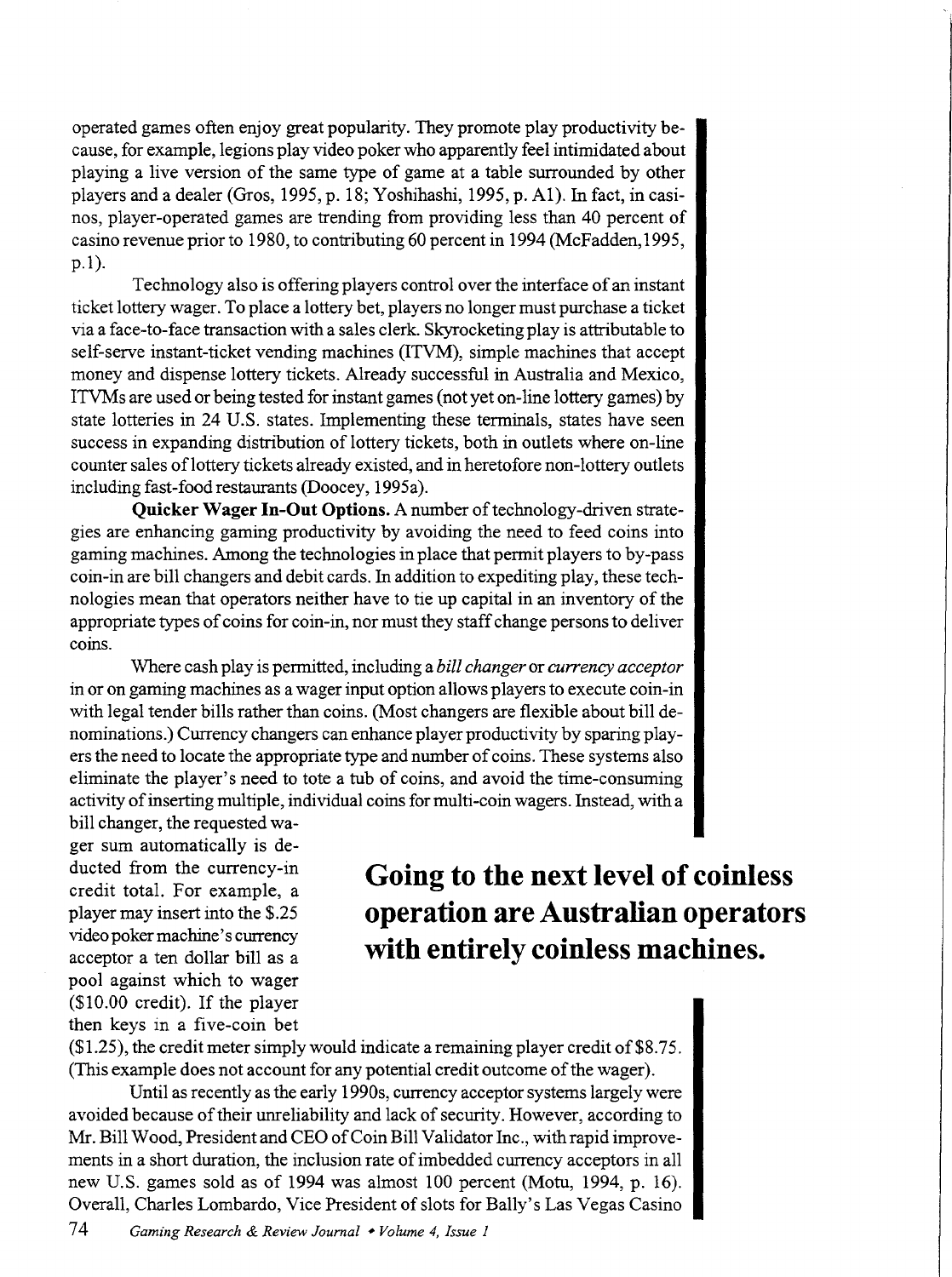operated games often enjoy great popularity. They promote play productivity because, for example, legions play video poker who apparently feel intimidated about playing a live version of the same type of game at a table surrounded by other players and a dealer (Gros, 1995, p. 18; Yoshihashi, 1995, p. Al). In fact, in casinos, player-operated games are trending from providing less than 40 percent of casino revenue prior to 1980, to contributing 60 percent in 1994 (McFadden, 1995, p.l).

Technology also is offering players control over the interface of an instant ticket lottery wager. To place a lottery bet, players no longer must purchase a ticket via a face-to-face transaction with a sales clerk. Skyrocketing play is attributable to self-serve instant-ticket vending machines (ITVM), simple machines that accept money and dispense lottery tickets. Already successful in Australia and Mexico, ITVMs are used or being tested for instant games (not yet on-line lottery games) by state lotteries in 24 U.S. states. Implementing these terminals, states have seen success in expanding distribution of lottery tickets, both in outlets where on-line counter sales oflottery tickets already existed, and in heretofore non-lottery outlets including fast-food restaurants (Doocey, 1995a).

**Quicker Wager In-Out Options.** A number of technology-driven strategies are enhancing gaming productivity by avoiding the need to feed coins into gaming machines. Among the technologies in place that permit players to by-pass coin-in are bill changers and debit cards. In addition to expediting play, these technologies mean that operators neither have to tie up capital in an inventory of the appropriate types of coins for coin-in, nor must they staff change persons to deliver coins.

Where cash play is permitted, including a *bill changer* or *currency acceptor*  in or on gaming machines as a wager input option allows players to execute coin-in with legal tender bills rather than coins. (Most changers are flexible about bill denominations.) Currency changers can enhance player productivity by sparing players the need to locate the appropriate type and number of coins. These systems also eliminate the player's need to tote a tub of coins, and avoid the time-consuming activity of inserting multiple, individual coins for multi-coin wagers. Instead, with a

bill changer, the requested wager sum automatically is deducted from the currency-in credit total. For example, a player may insert into the \$.25 video poker machine's currency acceptor a ten dollar bill as a pool against which to wager (\$10.00 credit). If the player then keys in a five-coin bet

## **Going to the next level of coinless operation are Australian operators with entirely coinless machines.**

 $($1.25)$ , the credit meter simply would indicate a remaining player credit of \$8.75. (This example does not account for any potential credit outcome of the wager).

Until as recently as the early 1990s, currency acceptor systems largely were avoided because of their unreliability and lack of security. However, according to Mr. Bill Wood, President and CEO of Coin Bill Validator Inc., with rapid improvements in a short duration, the inclusion rate of imbedded currency acceptors in all new U.S. games sold as of 1994 was almost 100 percent (Motu, 1994, p. 16). Overall, Charles Lombardo, Vice President of slots for Bally's Las Vegas Casino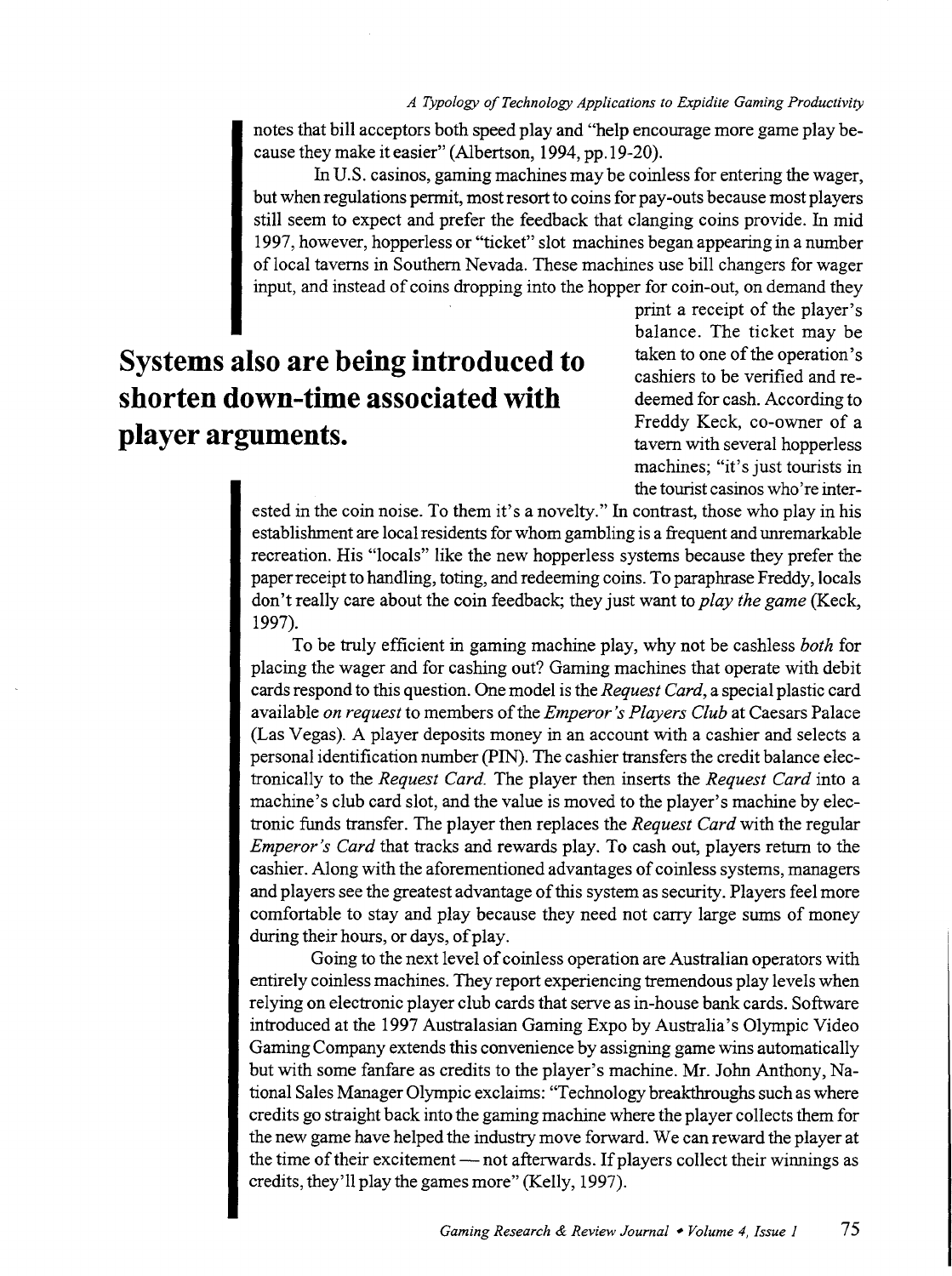notes that bill acceptors both speed play and "help encourage more game play because they make it easier" (Albertson, 1994, pp.19-20).

In U.S. casinos, gaming machines may be coinless for entering the wager, but when regulations permit, most resort to coins for pay-outs because most players still seem to expect and prefer the feedback that clanging coins provide. In mid 1997, however, hopperless or "ticket" slot machines began appearing in a number of local taverns in Southern Nevada. These machines use bill changers for wager input, and instead of coins dropping into the hopper for coin-out, on demand they

# **Systems also are being introduced to shorten down-time associated with player arguments.**

print a receipt of the player's balance. The ticket may be taken to one of the operation's cashiers to be verified and redeemed for cash. According to Freddy Keck, co-owner of a tavern with several hopperless machines; "it's just tourists in the tourist casinos who're inter-

ested in the coin noise. To them it's a novelty." In contrast, those who play in his establishment are local residents for whom gambling is a frequent and unremarkable recreation. His "locals" like the new hopperless systems because they prefer the paper receipt to handling, toting, and redeeming coins. To paraphrase Freddy, locals don't really care about the coin feedback; they just want to *play the game* (Keck, 1997).

To be truly efficient in gaming machine play, why not be cashless *both* for placing the wager and for cashing out? Gaming machines that operate with debit cards respond to this question. One model is the *Request Card,* a special plastic card available *on request* to members of the *Emperor's Players Club* at Caesars Palace (Las Vegas). A player deposits money in an account with a cashier and selects a personal identification number (PIN). The cashier transfers the credit balance electronically to the *Request Card.* The player then inserts the *Request Card* into a machine's club card slot, and the value is moved to the player's machine by electronic funds transfer. The player then replaces the *Request Card* with the regular *Emperor's Card* that tracks and rewards play. To cash out, players return to the cashier. Along with the aforementioned advantages of coinless systems, managers and players see the greatest advantage of this system as security. Players feel more comfortable to stay and play because they need not carry large sums of money during their hours, or days, of play.

Going to the next level of coinless operation are Australian operators with entirely coinless machines. They report experiencing tremendous play levels when relying on electronic player club cards that serve as in-house bank cards. Software introduced at the 1997 Australasian Gaming Expo by Australia's Olympic Video Gaming Company extends this convenience by assigning game wins automatically but with some fanfare as credits to the player's machine. Mr. John Anthony, National Sales Manager Olympic exclaims: "Technology breakthroughs such as where credits go straight back into the gaming machine where the player collects them for the new game have helped the industry move forward. We can reward the player at the time of their excitement — not afterwards. If players collect their winnings as credits, they'll play the games more" (Kelly, 1997).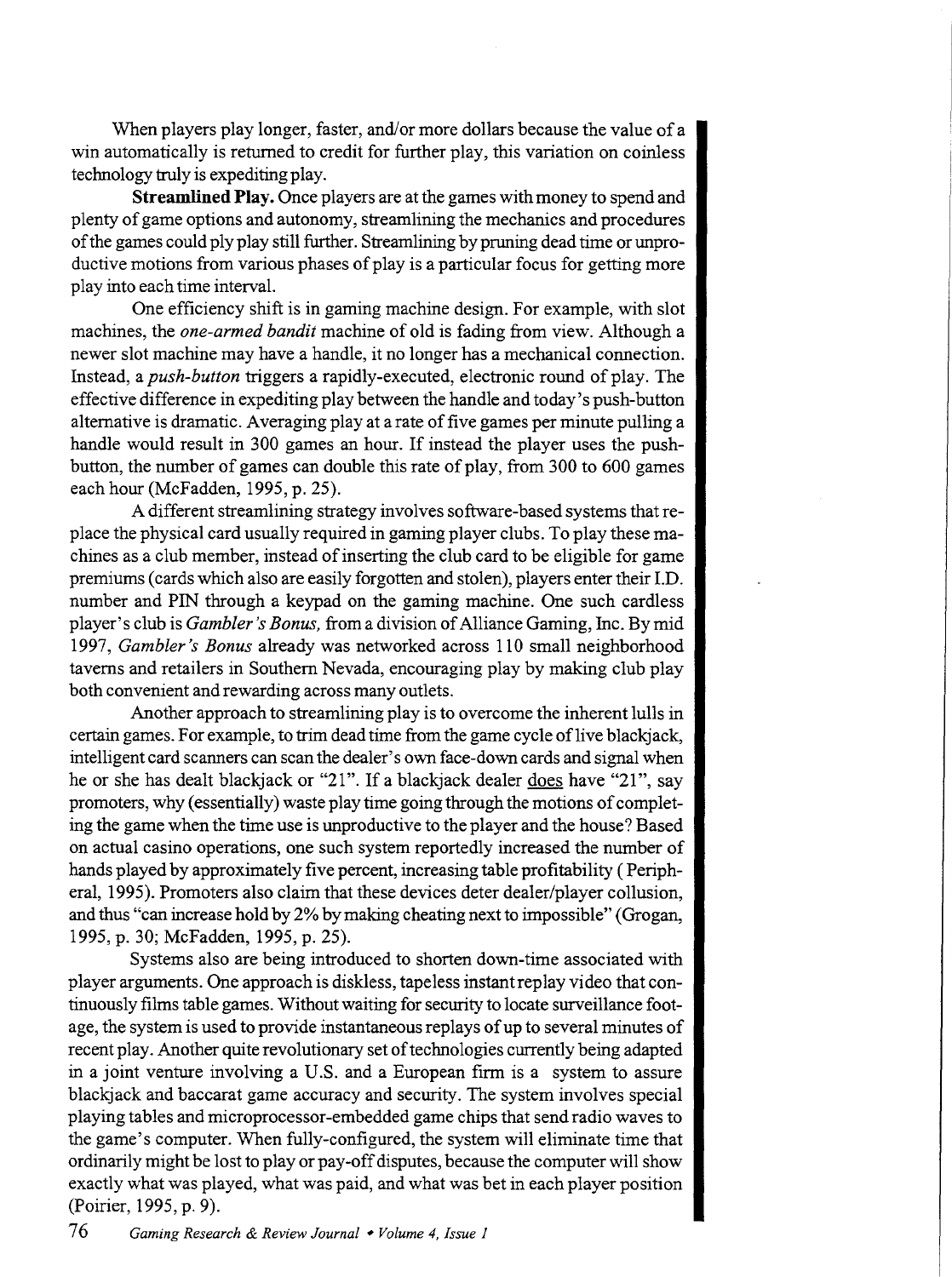When players play longer, faster, and/or more dollars because the value of a win automatically is returned to credit for further play, this variation on coinless technology truly is expediting play.

**Streamlined Play.** Once players are at the games with money to spend and plenty of game options and autonomy, streamlining the mechanics and procedures of the games could ply play still further. Streamlining by pruning dead time or unproductive motions from various phases of play is a particular focus for getting more play into each time interval.

One efficiency shift is in gaming machine design. For example, with slot machines, the *one-armed bandit* machine of old is fading from view. Although a newer slot machine may have a handle, it no longer has a mechanical connection. Instead, a *push-button* triggers a rapidly-executed, electronic round of play. The effective difference in expediting play between the handle and today' s push-button alternative is dramatic. Averaging play at a rate of five games per minute pulling a handle would result in 300 games an hour. If instead the player uses the pushbutton, the number of games can double this rate of play, from 300 to 600 games each hour (McFadden, 1995, p. 25).

A different streamlining strategy involves software-based systems that replace the physical card usually required in gaming player clubs. To play these machines as a club member, instead of inserting the club card to be eligible for game premiums (cards which also are easily forgotten and stolen), players enter their I.D. number and PIN through a keypad on the gaming machine. One such cardless player's club is *Gambler's Bonus,* from a division of Alliance Gaming, Inc. By mid 1997, *Gambler's Bonus* already was networked across 110 small neighborhood taverns and retailers in Southern Nevada, encouraging play by making club play both convenient and rewarding across many outlets.

Another approach to streamlining play is to overcome the inherent lulls in certain games. For example, to trim dead time from the game cycle of live blackjack, intelligent card scanners can scan the dealer's own face-down cards and signal when he or she has dealt blackjack or "21". If a blackjack dealer does have "21", say promoters, why (essentially) waste play time going through the motions of completing the game when the time use is unproductive to the player and the house? Based on actual casino operations, one such system reportedly increased the number of hands played by approximately five percent, increasing table profitability ( Peripheral, 1995). Promoters also claim that these devices deter dealer/player collusion, and thus "can increase hold by 2% by making cheating next to impossible" (Grogan, 1995, p. 30; McFadden, 1995, p. 25).

Systems also are being introduced to shorten down-time associated with player arguments. One approach is diskless, tape less instant replay video that continuously films table games. Without waiting for security to locate surveillance footage, the system is used to provide instantaneous replays of up to several minutes of recent play. Another quite revolutionary set of technologies currently being adapted in a joint venture involving a U.S. and a European firm is a system to assure blackjack and baccarat game accuracy and security. The system involves special playing tables and microprocessor-embedded game chips that send radio waves to the game's computer. When fully-configured, the system will eliminate time that ordinarily might be lost to play or pay-off disputes, because the computer will show exactly what was played, what was paid, and what was bet in each player position (Poirier, 1995, p. 9).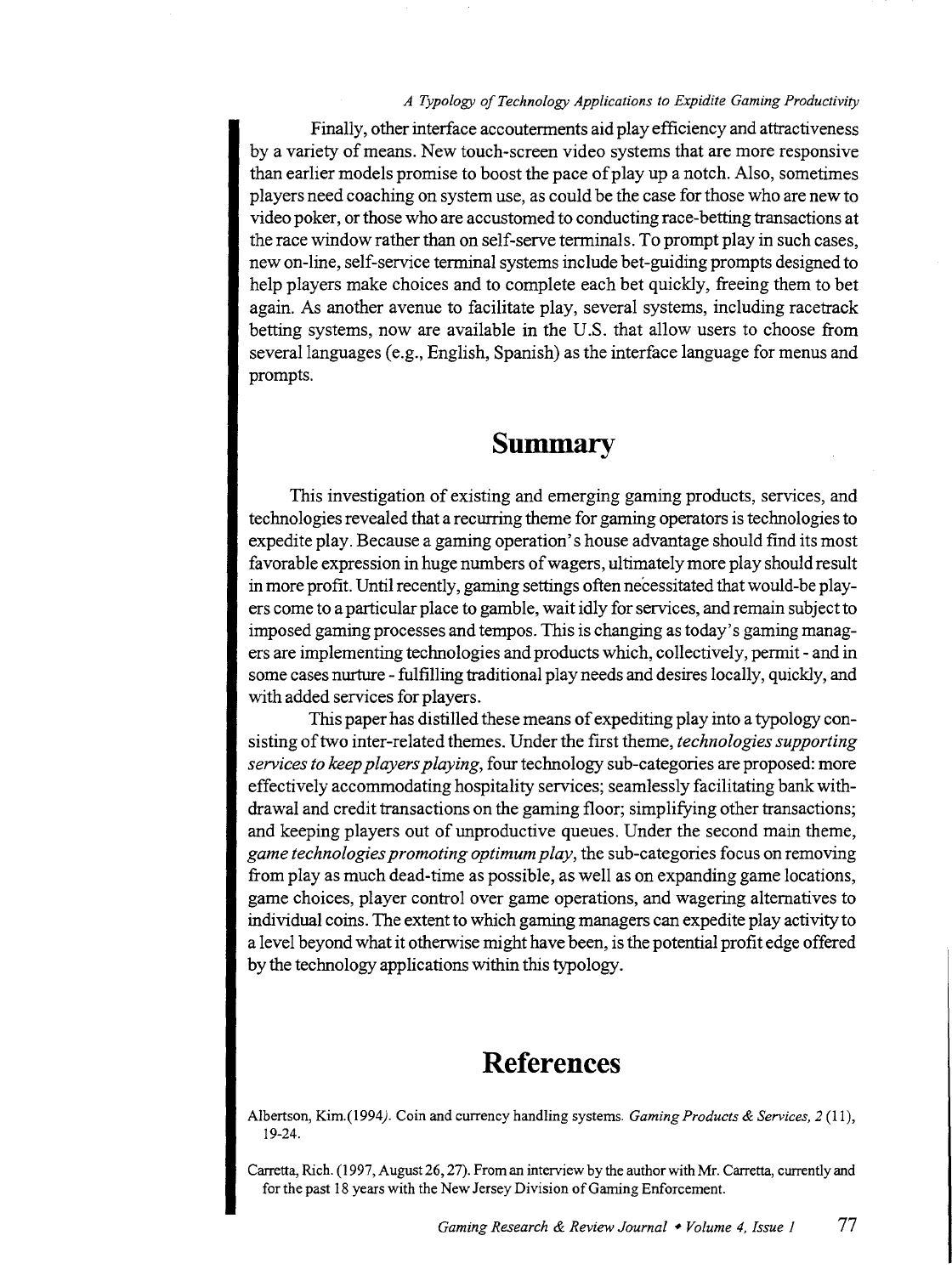#### *A Typology of Technology Applications to Expidite Gaming Productivity*

Finally, other interface accouterments aid play efficiency and attractiveness by a variety of means. New touch-screen video systems that are more responsive than earlier models promise to boost the pace of play up a notch. Also, sometimes players need coaching on system use, as could be the case for those who are new to video poker, or those who are accustomed to conducting race-betting transactions at the race window rather than on self-serve terminals. To prompt play in such cases, new on-line, self-service terminal systems include bet-guiding prompts designed to help players make choices and to complete each bet quickly, freeing them to bet again. As another avenue to facilitate play, several systems, including racetrack betting systems, now are available in the U.S. that allow users to choose from several languages (e.g., English, Spanish) as the interface language for menus and prompts.

### **Summary**

This investigation of existing and emerging gaming products, services, and technologies revealed that a recurring theme for gaming operators is technologies to expedite play. Because a gaming operation's house advantage should find its most favorable expression in huge numbers of wagers, ultimately more play should result in more profit. Until recently, gaming settings often necessitated that would-be players come to a particular place to gamble, wait idly for services, and remain subject to imposed gaming processes and tempos. This is changing as today' s gaming managers are implementing technologies and products which, collectively, permit- and in some cases nurture- fulfilling traditional play needs and desires locally, quickly, and with added services for players.

This paper has distilled these means of expediting play into a typology consisting of two inter-related themes. Under the first theme, *technologies supporting services to keep players playing,* four technology sub-categories are proposed: more effectively accommodating hospitality services; seamlessly facilitating bank withdrawal and credit transactions on the gaming floor; simplifying other transactions; and keeping players out of unproductive queues. Under the second main theme, *game technologies promoting optimum play,* the sub-categories focus on removing from play as much dead-time as possible, as well as on expanding game locations, game choices, player control over game operations, and wagering alternatives to individual coins. The extent to which gaming managers can expedite play activity to a level beyond what it otherwise might have been, is the potential profit edge offered by the technology applications within this typology.

### **References**

Albertson, Kim.(1994). Coin and currency handling systems. *Gaming Products* & *Services, 2* (11), 19-24.

Carretta, Rich. (1997, August 26, 27). From an interview by the author with Mr. Carretta, currently and for the past 18 years with the New Jersey Division of Gaming Enforcement.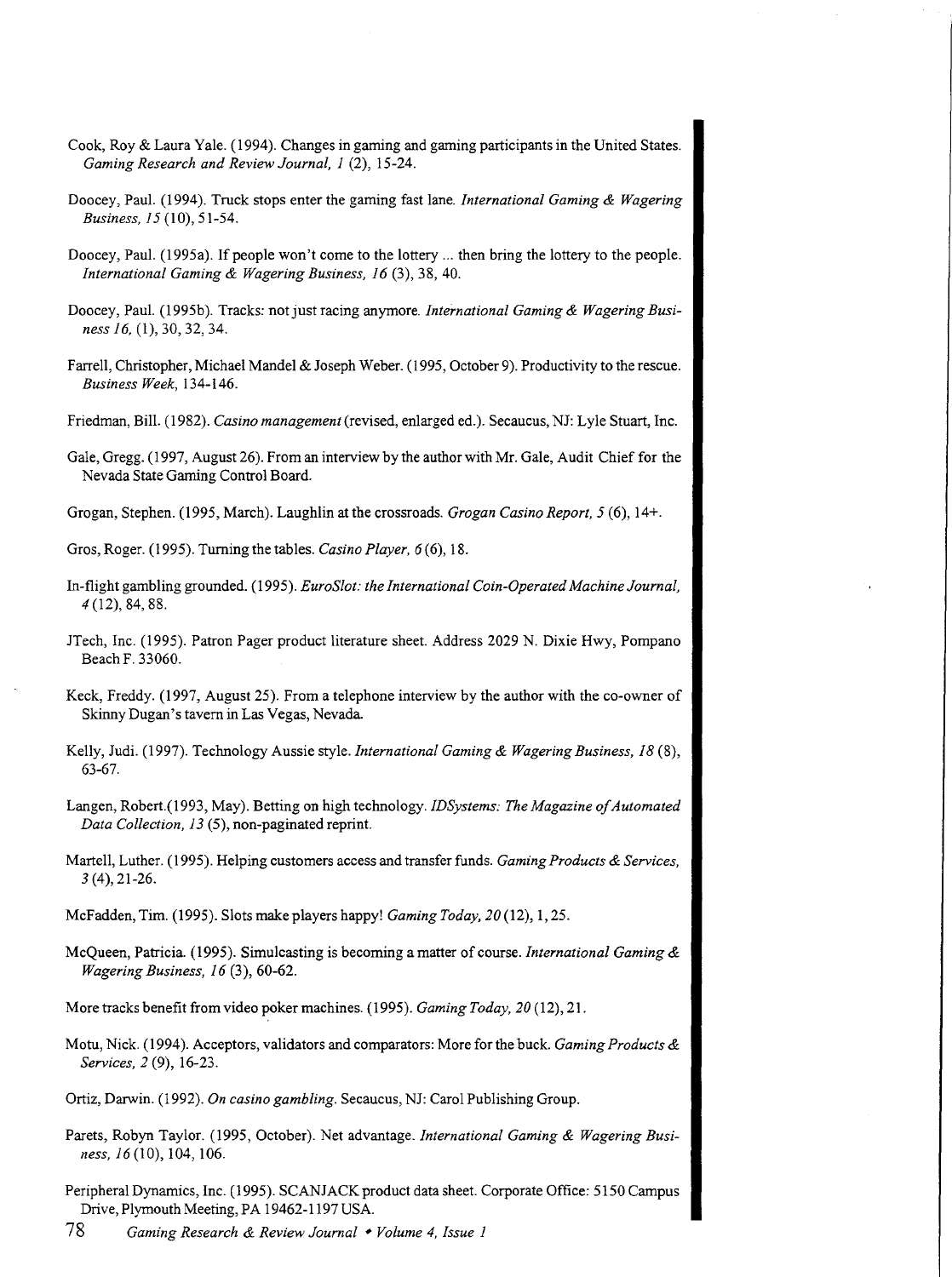- Cook, Roy & Laura Yale. ( 1994). Changes in gaming and gaming participants in the United States. *Gaming Research and Review Journal, I* (2), 15-24.
- Doocey, Paul. (1994). Truck stops enter the gaming fast lane. *International Gaming* & *Wagering Business, 15* (10), 51-54.
- Doocey, Paul. (1995a). If people won't come to the lottery ... then bring the lottery to the people. *International Gaming* & *Wagering Business, 16* (3), 38, 40.
- Doocey, Paul. (1995b). Tracks: not just racing anymore. *International Gaming & Wagering Business 16,* (1), 30, 32, 34.
- Farrell, Christopher, Michael Mandel & Joseph Weber. (1995, October 9). Productivity to the rescue. *Business Week,* 134-146.
- Friedman, Bill. (1982). *Casino management* (revised, enlarged ed.). Secaucus, NJ: Lyle Stuart, Inc.
- Gale, Gregg. ( 1997, August 26). From an interview by the author with Mr. Gale, Audit Chief for the Nevada State Gaming Control Board.
- Grogan, Stephen. ( 1995, March). Laughlin at the crossroads. *Grogan Casino Report, 5* ( 6), 14+.

Gros, Roger. (1995). Turning the tables. *Casino Player, 6* (6), 18.

- In-flight gambling grounded. (1995). *EuroSlot: the International Coin-Operated Machine Journal, 4* (12), 84, 88.
- JTech, Inc. (1995). Patron Pager product literature sheet. Address 2029 N. Dixie Hwy, Pompano Beach F. 33060.
- Keck, Freddy. ( 1997, August 25). From a telephone interview by the author with the co-owner of Skinny Dugan's tavern in Las Vegas, Nevada
- Kelly, Judi. (1997). Technology Aussie style. *International Gaming* & *Wagering Business, 18* (8), 63-67.
- Langen, Robert.(1993, May). Betting on high technology. *IDSystems: The Magazine of Automated Data Collection, 13* (5), non-paginated reprint.
- Martell, Luther. (1995). Helping customers access and transfer funds. *Gaming Products* & *Services, 3* (4), 21-26.
- McFadden, Tim. (1995). Slots make players happy! *Gaming Today, 20* (12), I, 25.
- McQueen, Patricia. ( 1995). Simulcasting is becoming a matter of course. *International Gaming* & *Wagering Business, 16* (3), 60-62.

More tracks benefit from video poker machines. (1995). *Gaming Today, 20* (12), 21.

- Motu, Nick. ( 1994 ). Acceptors, validators and comparators: More for the buck. *Gaming Products* & *Services, 2* (9), 16-23.
- Ortiz, Darwin. (1992). *On casino gambling.* Secaucus, NJ: Carol Publishing Group.
- Parets, Robyn Taylor. (1995, October). Net advantage. *International Gaming* & *Wagering Business, 16* (10), 104, 106.
- Peripheral Dynamics, Inc. (1995). SCAN JACK product data sheet. Corporate Office: 5150 Campus Drive, Plymouth Meeting, PA 19462-1197 USA.

78 *Gaming Research* & *Review Journal* \* *Volume 4, Issue 1*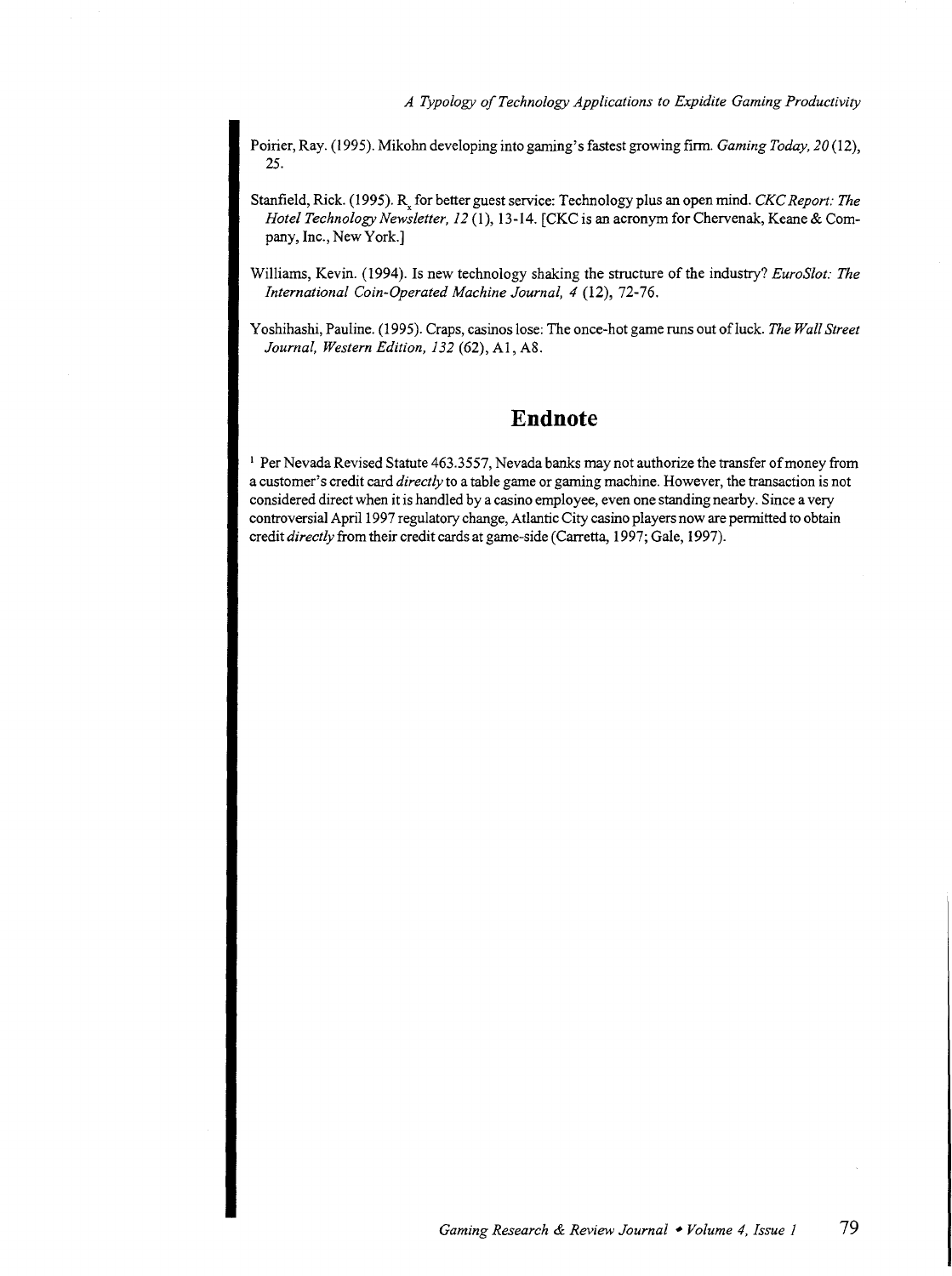Poirier, Ray. (1995). Mikohn developing into gaming's fastest growing firm. *Gaming Today*, 20(12), 25.

- Stanfield, Rick. (1995). R<sub>y</sub> for better guest service: Technology plus an open mind. *CKC Report: The Hotel Technology Newsletter, 12* (1), 13-14. (CKC is an acronym for Chervenak, Keane & Company, Inc., New York.]
- Williams, Kevin. (1994). Is new technology shaking the structure of the industry? *EuroSlot: The International Coin-Operated Machine Journal, 4* (12), 72-76.
- Yoshihashi, Pauline. (1995). Craps, casinos lose: The once-hot game runs out ofluck. *The Wall Street Journal, Western Edition, 132* (62), AI, A8.

### **Endnote**

1 Per Nevada Revised Statute 463.3557, Nevada banks may not authorize the transfer of money from a customer's credit card *directly* to a table game or gaming machine. However, the transaction is not considered direct when it is handled by a casino employee, even one standing nearby. Since a very controversial April 1997 regulatory change, Atlantic City casino players now are permitted to obtain credit *directly* from their credit cards at game-side (Carretta, 1997; Gale, 1997).